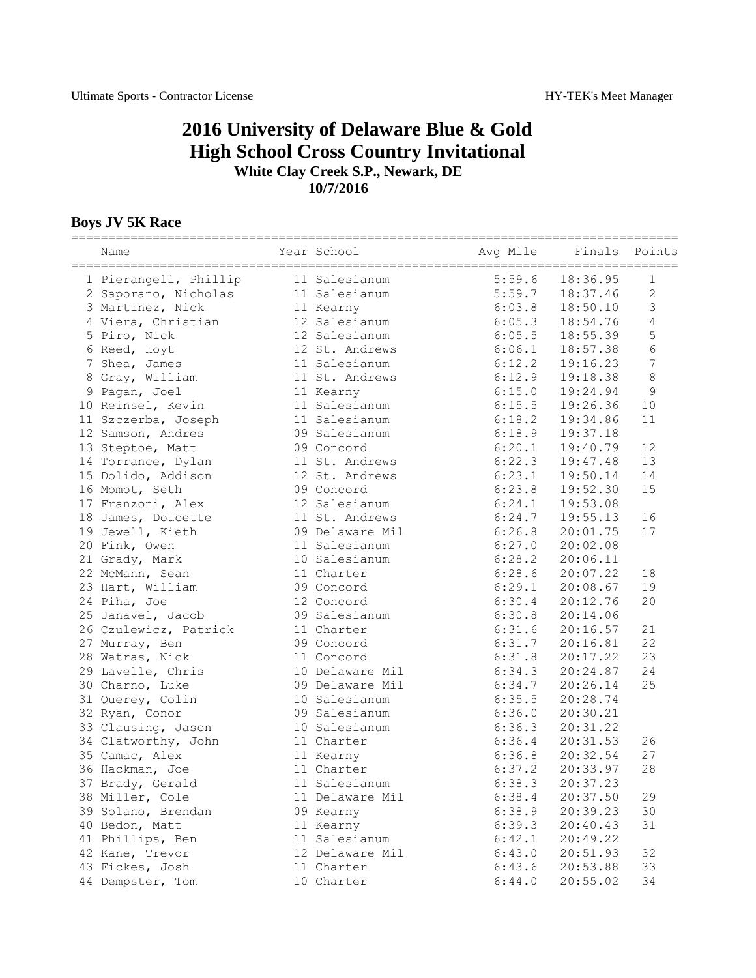## **2016 University of Delaware Blue & Gold High School Cross Country Invitational White Clay Creek S.P., Newark, DE 10/7/2016**

## **Boys JV 5K Race**

| Name                  | Year School     | Avg Mile | Finals Points       |                |
|-----------------------|-----------------|----------|---------------------|----------------|
| 1 Pierangeli, Phillip | 11 Salesianum   | 5:59.6   | 18:36.95            | 1              |
| 2 Saporano, Nicholas  | 11 Salesianum   | 5:59.7   | 18:37.46            | 2              |
| 3 Martinez, Nick      | 11 Kearny       | 6:03.8   | 18:50.10            | $\mathcal{S}$  |
| 4 Viera, Christian    | 12 Salesianum   | 6:05.3   | 18:54.76            | $\sqrt{4}$     |
| 5 Piro, Nick          | 12 Salesianum   | 6:05.5   | 18:55.39            | 5              |
| 6 Reed, Hoyt          | 12 St. Andrews  | 6:06.1   | 18:57.38            | $\sqrt{6}$     |
| 7 Shea, James         | 11 Salesianum   | 6:12.2   | 19:16.23            | $\overline{7}$ |
| 8 Gray, William       | 11 St. Andrews  | 6:12.9   | 19:18.38            | 8              |
| 9 Pagan, Joel         | 11 Kearny       | 6:15.0   | 19:24.94            | 9              |
| 10 Reinsel, Kevin     | 11 Salesianum   | 6:15.5   | 19:26.36            | 10             |
| 11 Szczerba, Joseph   | 11 Salesianum   | 6:18.2   | 19:34.86            | 11             |
| 12 Samson, Andres     | 09 Salesianum   | 6:18.9   | 19:37.18            |                |
| 13 Steptoe, Matt      | 09 Concord      | 6:20.1   | 19:40.79            | 12             |
| 14 Torrance, Dylan    | 11 St. Andrews  | 6:22.3   | 19:47.48            | 13             |
| 15 Dolido, Addison    | 12 St. Andrews  | 6:23.1   | 19:50.14            | 14             |
| 16 Momot, Seth        | 09 Concord      | 6:23.8   | 19:52.30            | 15             |
| 17 Franzoni, Alex     | 12 Salesianum   | 6:24.1   | 19:53.08            |                |
| 18 James, Doucette    | 11 St. Andrews  | 6:24.7   | 19:55.13            | 16             |
| 19 Jewell, Kieth      | 09 Delaware Mil | 6:26.8   | 20:01.75            | 17             |
| 20 Fink, Owen         | 11 Salesianum   | 6:27.0   | 20:02.08            |                |
| 21 Grady, Mark        | 10 Salesianum   | 6:28.2   | 20:06.11            |                |
| 22 McMann, Sean       | 11 Charter      | 6:28.6   | 20:07.22            | 18             |
| 23 Hart, William      | 09 Concord      | 6:29.1   | 20:08.67            | 19             |
| 24 Piha, Joe          | 12 Concord      | 6:30.4   | 20:12.76            | 20             |
| 25 Janavel, Jacob     | 09 Salesianum   | 6:30.8   | 20:14.06            |                |
| 26 Czulewicz, Patrick | 11 Charter      | 6:31.6   | 20:16.57            | 21             |
| 27 Murray, Ben        | 09 Concord      | 6:31.7   | 20:16.81            | 22             |
| 28 Watras, Nick       | 11 Concord      | 6:31.8   | 20:17.22            | 23             |
| 29 Lavelle, Chris     | 10 Delaware Mil | 6:34.3   | 20:24.87            | 24             |
| 30 Charno, Luke       | 09 Delaware Mil | 6:34.7   | 20:26.14            | 25             |
| 31 Querey, Colin      | 10 Salesianum   | 6:35.5   | 20:28.74            |                |
| 32 Ryan, Conor        | 09 Salesianum   | 6:36.0   | 20:30.21            |                |
| 33 Clausing, Jason    | 10 Salesianum   | 6:36.3   | 20:31.22            |                |
| 34 Clatworthy, John   | 11 Charter      | 6:36.4   | 20:31.53            | 26             |
| 35 Camac, Alex        | 11 Kearny       | 6:36.8   | 20:32.54            | 27             |
| 36 Hackman, Joe       | 11 Charter      | 6:37.2   | 20:33.97            | 28             |
| 37 Brady, Gerald      | 11 Salesianum   |          | $6:38.3$ $20:37.23$ |                |
| 38 Miller, Cole       | 11 Delaware Mil | 6:38.4   | 20:37.50            | 29             |
| 39 Solano, Brendan    | 09 Kearny       | 6:38.9   | 20:39.23            | 30             |
| 40 Bedon, Matt        | 11 Kearny       | 6:39.3   | 20:40.43            | 31             |
| 41 Phillips, Ben      | 11 Salesianum   | 6:42.1   | 20:49.22            |                |
| 42 Kane, Trevor       | 12 Delaware Mil | 6:43.0   | 20:51.93            | 32             |
| 43 Fickes, Josh       | 11 Charter      | 6:43.6   | 20:53.88            | 33             |
| 44 Dempster, Tom      | 10 Charter      | 6:44.0   | 20:55.02            | 34             |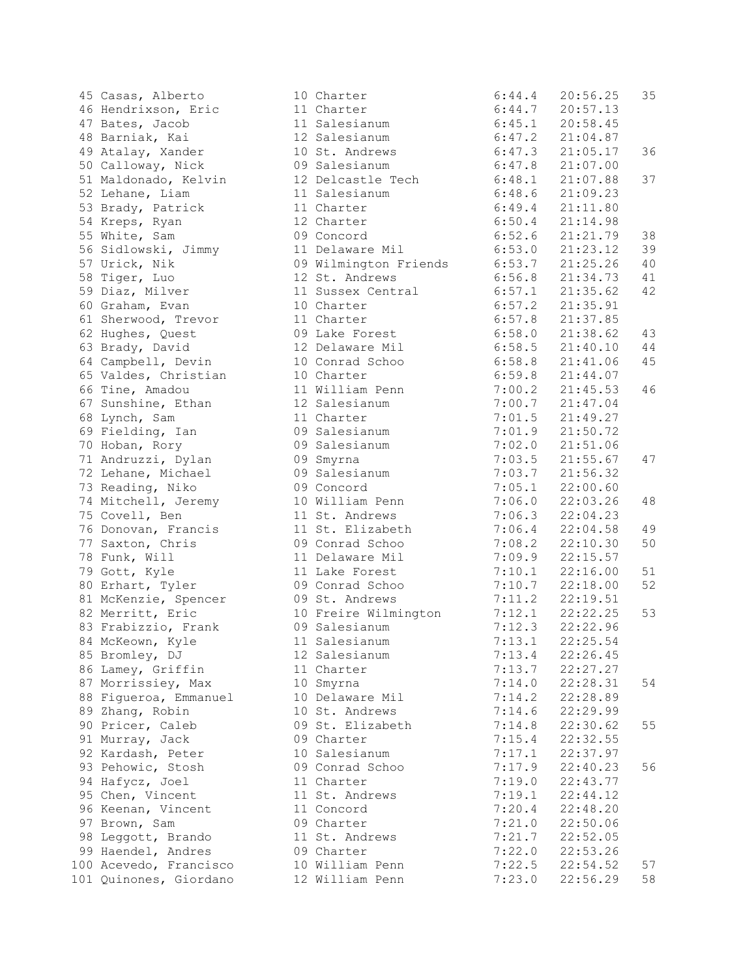45 Casas, Alberto 46 Hendrixson, Eric 47 Bates, Jacob 48 Barniak, Kai 49 Atalay, Xander 50 Calloway, Nick 0 51 Maldonado, Kelvin 52 Lehane, Liam 53 Brady, Patrick 54 Kreps, Ryan 55 White, Sam 0 56 Sidlowski, Jimmy 57 Urick, Nik 0 58 Tiger, Luo 59 Diaz, Milver 60 Graham, Evan 61 Sherwood, Trevor 62 Hughes, Quest 63 Brady, David 64 Campbell, Devin 65 Valdes, Christian 66 Tine, Amadou 67 Sunshine, Ethan 68 Lynch, Sam 69 Fielding, Ian 0 70 Hoban, Rory 0 71 Andruzzi, Dylan 0 72 Lehane, Michael 0 73 Reading, Niko 0 74 Mitchell, Jeremy 75 Covell, Ben 76 Donovan, Francis 77 Saxton, Chris 0 78 Funk, Will 79 Gott, Kyle 80 Erhart, Tyler 0 81 McKenzie, Spencer 0 82 Merritt, Eric 83 Frabizzio, Frank 0 84 McKeown, Kyle 85 Bromley, DJ 86 Lamey, Griffin 87 Morrissiey, Max 88 Figueroa, Emmanuel 89 Zhang, Robin 90 Pricer, Caleb 0 91 Murray, Jack 0 92 Kardash, Peter 93 Pehowic, Stosh 0 94 Hafycz, Joel 95 Chen, Vincent 96 Keenan, Vincent 97 Brown, Sam 0 98 Leggott, Brando 99 Haendel, Andres 0 100 Acevedo, Francisco 101 Quinones, Giordano

|                 | 10 Charter                            |        | $6:44.4$ 20:56.25   | 35 |
|-----------------|---------------------------------------|--------|---------------------|----|
|                 | 11 Charter                            |        | $6:44.7$ 20:57.13   |    |
|                 | 11 Salesianum                         |        | $6:45.1$ 20:58.45   |    |
|                 | 12 Salesianum                         |        | $6:47.2$ $21:04.87$ |    |
|                 | 10 St. Andrews                        |        | $6:47.3$ $21:05.17$ | 36 |
|                 | 09 Salesianum                         |        | $6:47.8$ $21:07.00$ |    |
|                 | 12 Delcastle Tech                     | 6:48.1 | 21:07.88            | 37 |
|                 | 11 Salesianum                         | 6:48.6 | 21:09.23            |    |
|                 | 11 Charter                            | 6:49.4 | 21:11.80            |    |
|                 | 12 Charter                            |        | $6:50.4$ $21:14.98$ |    |
|                 | 09 Concord                            |        | $6:52.6$ $21:21.79$ | 38 |
| 11              | Delaware Mil                          |        | $6:53.0$ $21:23.12$ | 39 |
|                 | 09 Wilmington Friends 6:53.7 21:25.26 |        |                     |    |
|                 |                                       |        |                     | 40 |
|                 | 12 St. Andrews                        |        | $6:56.8$ $21:34.73$ | 41 |
| 11              | Sussex Central                        |        | $6:57.1$ $21:35.62$ | 42 |
|                 | 10 Charter                            | 6:57.2 | 21:35.91            |    |
|                 | 11 Charter                            | 6:57.8 | 21:37.85            |    |
|                 | 09 Lake Forest                        | 6:58.0 | 21:38.62            | 43 |
|                 | 12 Delaware Mil                       |        | $6:58.5$ $21:40.10$ | 44 |
|                 | 10 Conrad Schoo                       |        | $6:58.8$ $21:41.06$ | 45 |
| 10              | Charter                               |        | $6:59.8$ $21:44.07$ |    |
|                 | 11 William Penn                       |        | $7:00.2$ $21:45.53$ | 46 |
|                 | 12 Salesianum                         |        | $7:00.7$ $21:47.04$ |    |
|                 | 11 Charter                            |        | $7:01.5$ $21:49.27$ |    |
|                 | 09 Salesianum                         | 7:01.9 | 21:50.72            |    |
|                 | 09 Salesianum                         | 7:02.0 | 21:51.06            |    |
|                 | 09 Smyrna                             | 7:03.5 | 21:55.67            | 47 |
| C C             | Salesianum                            |        | $7:03.7$ $21:56.32$ |    |
| C C             | Concord                               |        | $7:05.1$ 22:00.60   |    |
| 10              | William Penn                          |        | $7:06.0$ $22:03.26$ | 48 |
|                 | 11 St. Andrews                        |        | $7:06.3$ $22:04.23$ |    |
| 11              | St. Elizabeth                         |        | $7:06.4$ $22:04.58$ | 49 |
|                 | 09 Conrad Schoo                       |        | $7:08.2$ $22:10.30$ | 50 |
|                 | 11 Delaware Mil                       | 7:09.9 | 22:15.57            |    |
|                 | 11 Lake Forest                        | 7:10.1 | 22:16.00            | 51 |
|                 | 09 Conrad Schoo                       | 7:10.7 | 22:18.00            | 52 |
| 39              | St. Andrews                           |        | $7:11.2$ $22:19.51$ |    |
|                 | 10 Freire Wilmington                  |        | $7:12.1$ $22:22.25$ | 53 |
|                 | 09 Salesianum                         |        | $7:12.3$ $22:22.96$ |    |
|                 | 11 Salesianum                         |        | $7:13.1$ $22:25.54$ |    |
| 12              | Salesianum                            | 7:13.4 | 22:26.45            |    |
| 11              |                                       |        | $7:13.7$ $22:27.27$ |    |
|                 | Charter                               | 7:14.0 | 22:28.31            | 54 |
| 10              | Smyrna                                |        |                     |    |
| 10              | Delaware Mil                          | 7:14.2 | 22:28.89            |    |
| 10              | St. Andrews                           | 7:14.6 | 22:29.99            |    |
| C C             | St. Elizabeth                         | 7:14.8 | 22:30.62            | 55 |
| 9               | Charter                               | 7:15.4 | 22:32.55            |    |
| 10              | Salesianum                            |        | $7:17.1$ $22:37.97$ |    |
| J 9             | Conrad Schoo                          |        | $7:17.9$ $22:40.23$ | 56 |
| 11 <sub>1</sub> | Charter                               |        | $7:19.0$ $22:43.77$ |    |
| 11              | St. Andrews                           | 7:19.1 | 22:44.12            |    |
| 11              | Concord                               | 7:20.4 | 22:48.20            |    |
|                 | 09 Charter                            | 7:21.0 | 22:50.06            |    |
| 11              | St. Andrews                           | 7:21.7 | 22:52.05            |    |
|                 | 09 Charter                            | 7:22.0 | 22:53.26            |    |
| 10              | William Penn                          |        | $7:22.5$ $22:54.52$ | 57 |
|                 | 12 William Penn                       | 7:23.0 | 22:56.29            | 58 |
|                 |                                       |        |                     |    |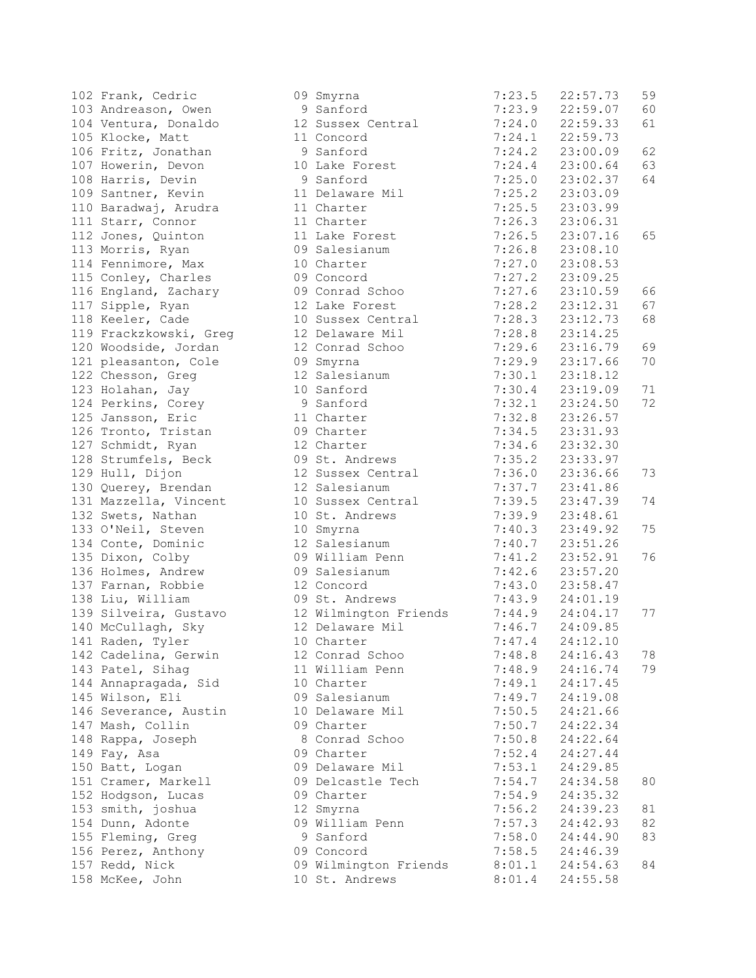| 102 Frank, Cedric                | 09 Smyrna                                                                                                      | 7:23.5                         | 22:57.73            | 59 |
|----------------------------------|----------------------------------------------------------------------------------------------------------------|--------------------------------|---------------------|----|
| 103 Andreason, Owen              | 9 Sanford                                                                                                      | 7:23.9                         | 22:59.07            | 60 |
| 104 Ventura, Donaldo             | 12 Sussex Central                                                                                              | 7:24.0                         | 22:59.33            | 61 |
| 105 Klocke, Matt                 | 11 Concord                                                                                                     |                                | $7:24.1$ $22:59.73$ |    |
| 106 Fritz, Jonathan 51 9 Sanford |                                                                                                                | 7:24.2                         | 23:00.09            | 62 |
| 107 Howerin, Devon               | 10 Lake Forest                                                                                                 | 7:24.4                         | 23:00.64            | 63 |
| 108 Harris, Devin                | 9 Sanford                                                                                                      | 7:25.0                         | 23:02.37            | 64 |
| 109 Santner, Kevin               | 11 Delaware Mil                                                                                                | 7:25.2                         | 23:03.09            |    |
| 110 Baradwaj, Arudra             | 11 Charter                                                                                                     |                                | 23:03.99            |    |
| 111 Starr, Connor                | 11 Charter                                                                                                     | 7:25.5<br>7:26.3               | 23:06.31            |    |
| 112 Jones, Quinton               | 11 Lake Forest                                                                                                 |                                | $7:26.5$ $23:07.16$ | 65 |
| 113 Morris, Ryan                 | 09 Salesianum                                                                                                  |                                | $7:26.8$ $23:08.10$ |    |
| 114 Fennimore, Max               | 10 Charter                                                                                                     |                                | $7:27.0$ 23:08.53   |    |
| 115 Conley, Charles              | 09 Concord and the control of the control of the control of the control of the control of the control of the c | 7:27.2                         | 23:09.25            |    |
| 116 England, Zachary             | 09 Conrad Schoo 7:27.6                                                                                         |                                | 23:10.59            | 66 |
| 117 Sipple, Ryan                 | 12 Lake Forest 7:28.2                                                                                          |                                | 23:12.31            | 67 |
| 118 Keeler, Cade                 | 10 Sussex Central                                                                                              | 7:28.3                         | 23:12.73            | 68 |
| 119 Frackzkowski, Greg           | 12 Delaware Mil                                                                                                |                                | 23:14.25            |    |
| 120 Woodside, Jordan             | 12 Conrad Schoo                                                                                                | $7:28.8$<br>$7:28.8$<br>7:29.6 | 23:16.79            | 69 |
| 121 pleasanton, Cole             | 09 Smyrna                                                                                                      | 7:29.9                         | 23:17.66            | 70 |
| 122 Chesson, Greg                | 12 Salesianum                                                                                                  | 7:30.1                         | 23:18.12            |    |
| 123 Holahan, Jay                 | 10 Sanford                                                                                                     | 7:30.4                         | 23:19.09            | 71 |
|                                  |                                                                                                                | 7:32.1                         | 23:24.50            | 72 |
| 125 Jansson, Eric                | 11 Charter                                                                                                     | 7:32.8                         | 23:26.57            |    |
| 126 Tronto, Tristan 19 Charter   |                                                                                                                | 7:34.5                         | 23:31.93            |    |
| 127 Schmidt, Ryan                | 12 Charter                                                                                                     | 7:34.6                         | 23:32.30            |    |
| 128 Strumfels, Beck              | 09 St. Andrews                                                                                                 |                                | 23:33.97            |    |
| 129 Hull, Dijon                  | 12 Sussex Central                                                                                              | 7:35.2<br>7:36.0<br>7:37.7     | 23:36.66            | 73 |
| 130 Querey, Brendan              | 12 Salesianum                                                                                                  |                                | 23:41.86            |    |
| 131 Mazzella, Vincent            | 10 Sussex Central                                                                                              | 7:39.5                         | 23:47.39            | 74 |
| 132 Swets, Nathan                | 10 St. Andrews                                                                                                 | 7:39.9                         | 23:48.61            |    |
| 133 O'Neil, Steven               | 10 Smyrna                                                                                                      | 7:40.3                         | 23:49.92            | 75 |
| 134 Conte, Dominic               | 12 Salesianum 7:40.7                                                                                           |                                | 23:51.26            |    |
| 135 Dixon, Colby                 | 09 William Penn 7:41.2                                                                                         |                                | 23:52.91            | 76 |
| 136 Holmes, Andrew               | 09 Salesianum                                                                                                  | 7:42.6                         | 23:57.20            |    |
| 137 Farnan, Robbie               | 12 Concord                                                                                                     | 7:43.0                         | 23:58.47            |    |
| 138 Liu, William                 | 09 St. Andrews                                                                                                 | 7:43.9                         | 24:01.19            |    |
| 139 Silveira, Gustavo            | 12 Wilmington Friends 7:44.9 24:04.17                                                                          |                                |                     | 77 |
| 140 McCullagh, Sky               | 12 Delaware Mil                                                                                                |                                | 7:46.7 24:09.85     |    |
| 141 Raden, Tyler                 | 10 Charter and the state of the state of the state of the state of the state of the state of the state of the  |                                | $7:47.4$ $24:12.10$ |    |
| 142 Cadelina, Gerwin             | 12 Conrad Schoo                                                                                                | 7:48.8                         | 24:16.43            | 78 |
| 143 Patel, Sihag                 | 11 William Penn                                                                                                | 7:48.9                         | 24:16.74            | 79 |
| 144 Annapragada, Sid             | 10 Charter                                                                                                     | 7:49.1                         | 24:17.45            |    |
| 145 Wilson, Eli                  | 09 Salesianum                                                                                                  | 7:49.7                         | 24:19.08            |    |
| 146 Severance, Austin            | 10 Delaware Mil                                                                                                | 7:50.5                         | 24:21.66            |    |
| 147 Mash, Collin                 | 09 Charter                                                                                                     | 7:50.7                         | 24:22.34            |    |
| 148 Rappa, Joseph                | 8 Conrad Schoo                                                                                                 | 7:50.8                         | 24:22.64            |    |
| 149 Fay, Asa                     | 09 Charter                                                                                                     | 7:52.4                         | 24:27.44            |    |
| 150 Batt, Logan                  | 09 Delaware Mil                                                                                                | 7:53.1                         | 24:29.85            |    |
| 151 Cramer, Markell              | 09 Delcastle Tech                                                                                              | 7:54.7                         | 24:34.58            | 80 |
| 152 Hodgson, Lucas               | 09 Charter                                                                                                     | 7:54.9                         | 24:35.32            |    |
| 153 smith, joshua                | 12 Smyrna                                                                                                      | 7:56.2                         | 24:39.23            | 81 |
| 154 Dunn, Adonte                 | 09 William Penn                                                                                                | 7:57.3                         | 24:42.93            | 82 |
| 155 Fleming, Greg                | 9 Sanford                                                                                                      | 7:58.0                         | 24:44.90            | 83 |
| 156 Perez, Anthony               | 09 Concord                                                                                                     | 7:58.5                         | 24:46.39            |    |
| 157 Redd, Nick                   | 09 Wilmington Friends                                                                                          | 8:01.1                         | 24:54.63            | 84 |
| 158 McKee, John                  | 10 St. Andrews                                                                                                 | 8:01.4                         | 24:55.58            |    |
|                                  |                                                                                                                |                                |                     |    |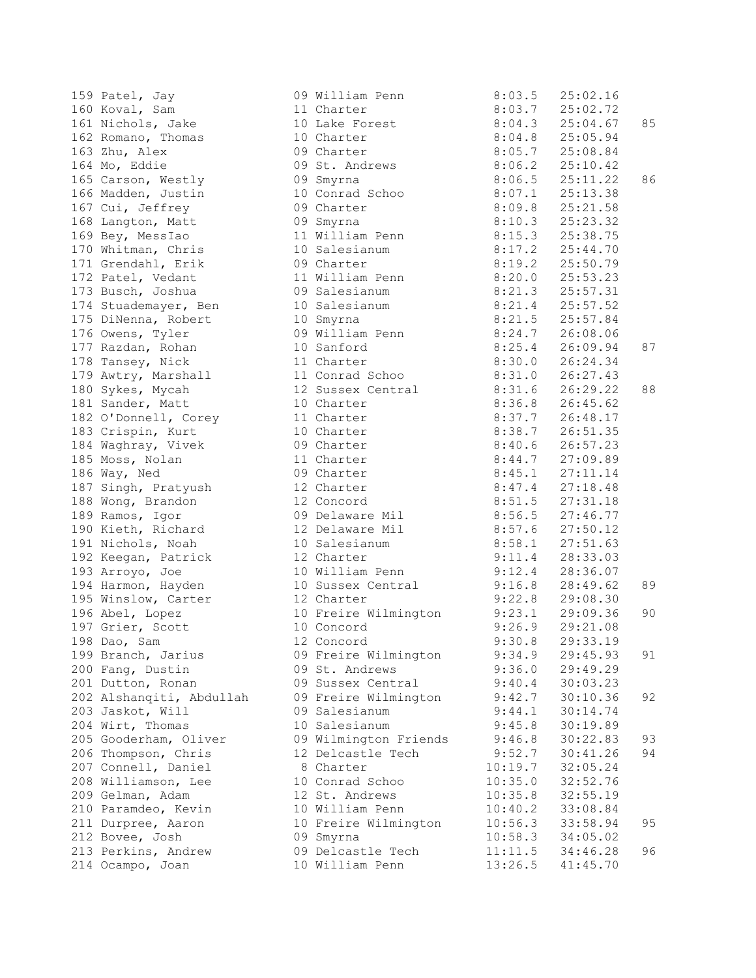| 159  Patel, Jay<br>160  Koval, Sam                                                                                                                                                                                                      | 09 William Penn 8:03.5 25:02.16<br>11 Charter 8:03.7 25:02.72                                                                                                                                                                                    |         |                   |    |
|-----------------------------------------------------------------------------------------------------------------------------------------------------------------------------------------------------------------------------------------|--------------------------------------------------------------------------------------------------------------------------------------------------------------------------------------------------------------------------------------------------|---------|-------------------|----|
| 161 Nichols, Jake                                                                                                                                                                                                                       | 10 Lake Forest 8:04.3 25:04.67                                                                                                                                                                                                                   |         |                   | 85 |
| 162 Romano, Thomas                                                                                                                                                                                                                      | 10 Charter 8:04.8 25:05.94                                                                                                                                                                                                                       |         |                   |    |
| 163 Zhu, Alex                                                                                                                                                                                                                           | 09 Charter 8:05.7 25:08.84                                                                                                                                                                                                                       |         |                   |    |
| 164 Mo, Eddie                                                                                                                                                                                                                           | 09 St. Andrews 8:06.2 25:10.42                                                                                                                                                                                                                   |         |                   |    |
| 165 Carson, Westly                                                                                                                                                                                                                      |                                                                                                                                                                                                                                                  |         |                   | 86 |
| 166 Madden, Justin                                                                                                                                                                                                                      |                                                                                                                                                                                                                                                  |         |                   |    |
|                                                                                                                                                                                                                                         |                                                                                                                                                                                                                                                  |         |                   |    |
| 167 Cui, Jeffrey<br>168 Langton, Matt<br>169 Bey, MessIao                                                                                                                                                                               |                                                                                                                                                                                                                                                  |         |                   |    |
|                                                                                                                                                                                                                                         |                                                                                                                                                                                                                                                  |         |                   |    |
| 170 Whitman, Chris                                                                                                                                                                                                                      | 09 Smyrna<br>09 Smyrna<br>09 Charter 8:06.5 25:11.22<br>09 Charter 8:09.8 25:21.58<br>09 Smyrna<br>11 William Penn 8:15.3 25:38.75<br>10 Salesianum 8:17.2 25:44.70<br>09 Charter 8:19.2 25:50.79<br>09 Charter 8:19.2 25:50.79<br>09 Charter 8: |         |                   |    |
| 171 Grendahl, Erik                                                                                                                                                                                                                      |                                                                                                                                                                                                                                                  |         |                   |    |
|                                                                                                                                                                                                                                         |                                                                                                                                                                                                                                                  |         |                   |    |
| 173 Busch, Joshua                       09 Salesianum                 8:21.3     25:57.31                                                                                                                                               |                                                                                                                                                                                                                                                  |         |                   |    |
|                                                                                                                                                                                                                                         |                                                                                                                                                                                                                                                  |         |                   |    |
|                                                                                                                                                                                                                                         |                                                                                                                                                                                                                                                  |         |                   |    |
| 174 Stuademayer, Ben 10 Salesianum 175 DiNenna, Robert 10 Smyrna 175 DiNenna, Robert 10 Smyrna 176 Owens, Tyler 10 Smyrna 176 Owens, Tyler 10 Smyrna 178 States 10 Smyrna 178 Tansey, Nick 11 Charter 12 States 10 Smyrna 10 S          |                                                                                                                                                                                                                                                  |         |                   |    |
|                                                                                                                                                                                                                                         |                                                                                                                                                                                                                                                  |         |                   | 87 |
|                                                                                                                                                                                                                                         |                                                                                                                                                                                                                                                  |         |                   |    |
| 179 Awtry, Marshall 11 Conrad Schoo 8:31.0 26:27.43                                                                                                                                                                                     |                                                                                                                                                                                                                                                  |         |                   |    |
| 180 Sykes, Mycah               12 Sussex Central           8:31.6     26:29.22                                                                                                                                                          |                                                                                                                                                                                                                                                  |         |                   | 88 |
| 181 Sander, Matt 10 Charter 10 26:36.8 26:45.62                                                                                                                                                                                         |                                                                                                                                                                                                                                                  |         |                   |    |
|                                                                                                                                                                                                                                         |                                                                                                                                                                                                                                                  |         |                   |    |
| 182 O'Donnell, Corey 11 Charter 8:37.7 26:48.17                                                                                                                                                                                         |                                                                                                                                                                                                                                                  |         |                   |    |
|                                                                                                                                                                                                                                         |                                                                                                                                                                                                                                                  |         |                   |    |
|                                                                                                                                                                                                                                         |                                                                                                                                                                                                                                                  |         |                   |    |
| 183 Crispin, Kurt 10 Charter 8:38.7 26:51.35<br>184 Waghray, Vivek 09 Charter 8:40.6 26:57.23<br>185 Moss, Nolan 11 Charter 8:40.6 26:57.23<br>186 Way, Ned 09 Charter 8:45.1 27:11.14<br>187 Singh, Pratyush 12 Charter 8:47.4 27:18.  |                                                                                                                                                                                                                                                  |         |                   |    |
|                                                                                                                                                                                                                                         |                                                                                                                                                                                                                                                  |         |                   |    |
| 188 Wong, Brandon                                                                                                                                                                                                                       | 12 Concord 8:51.5 27:31.18                                                                                                                                                                                                                       |         |                   |    |
| 189 Ramos, Igor                                                                                                                                                                                                                         | 09 Delaware Mil 8:56.5 27:46.77                                                                                                                                                                                                                  |         |                   |    |
| 190 Kieth, Richard               12 Delaware Mil               8:57.6     27:50.12                                                                                                                                                      |                                                                                                                                                                                                                                                  |         |                   |    |
|                                                                                                                                                                                                                                         |                                                                                                                                                                                                                                                  |         |                   |    |
| 191 Nichols, Noah 10 Salesianum 8:58.1 27:51.63                                                                                                                                                                                         |                                                                                                                                                                                                                                                  |         |                   |    |
|                                                                                                                                                                                                                                         |                                                                                                                                                                                                                                                  |         |                   |    |
|                                                                                                                                                                                                                                         |                                                                                                                                                                                                                                                  |         |                   |    |
| 193 Arroyo, Joe 10 William Penn 193 Arroyo, Joe 10 William Penn 9:12.4 28:33.03<br>194 Harmon, Hayden 10 Sussex Central 9:16.8 28:49.62<br>195 Winslow, Carter 12 Charter 9:22.8 29:08.30<br>196 Abel, Lopez 10 Freire Wilmington 9:22. |                                                                                                                                                                                                                                                  |         |                   | 89 |
|                                                                                                                                                                                                                                         |                                                                                                                                                                                                                                                  |         |                   | 90 |
|                                                                                                                                                                                                                                         |                                                                                                                                                                                                                                                  |         |                   |    |
| 197 Grier, Scott<br>198 Dao, Sam                                                                                                                                                                                                        | 10 Freire Wilmington<br>10 Concord<br>12 Concord<br>12 Concord<br>12 Concord<br>12 Concord<br>14 Concord<br>14 Concord<br>14 Concord<br>14 Concord<br>14 Concord<br>14 Concord<br>14 Concord<br>14 Concord<br>14 Concord<br>14 Concord           |         |                   |    |
|                                                                                                                                                                                                                                         |                                                                                                                                                                                                                                                  |         | $9:30.8$ 29:33.19 |    |
| 199 Branch, Jarius                                                                                                                                                                                                                      | 09 Freire Wilmington                                                                                                                                                                                                                             | 9:34.9  | 29:45.93          | 91 |
| 200 Fang, Dustin                                                                                                                                                                                                                        | 09 St. Andrews                                                                                                                                                                                                                                   | 9:36.0  | 29:49.29          |    |
| 201 Dutton, Ronan                                                                                                                                                                                                                       | 09 Sussex Central                                                                                                                                                                                                                                | 9:40.4  | 30:03.23          |    |
| 202 Alshanqiti, Abdullah                                                                                                                                                                                                                | 09 Freire Wilmington                                                                                                                                                                                                                             | 9:42.7  | 30:10.36          | 92 |
| 203 Jaskot, Will                                                                                                                                                                                                                        | 09 Salesianum                                                                                                                                                                                                                                    | 9:44.1  | 30:14.74          |    |
| 204 Wirt, Thomas                                                                                                                                                                                                                        | 10 Salesianum                                                                                                                                                                                                                                    | 9:45.8  | 30:19.89          |    |
| 205 Gooderham, Oliver                                                                                                                                                                                                                   | 09 Wilmington Friends                                                                                                                                                                                                                            | 9:46.8  | 30:22.83          | 93 |
| 206 Thompson, Chris                                                                                                                                                                                                                     | 12 Delcastle Tech                                                                                                                                                                                                                                | 9:52.7  | 30:41.26          | 94 |
| 207 Connell, Daniel                                                                                                                                                                                                                     | 8 Charter                                                                                                                                                                                                                                        | 10:19.7 | 32:05.24          |    |
| 208 Williamson, Lee                                                                                                                                                                                                                     | 10 Conrad Schoo                                                                                                                                                                                                                                  | 10:35.0 | 32:52.76          |    |
| 209 Gelman, Adam                                                                                                                                                                                                                        | 12 St. Andrews                                                                                                                                                                                                                                   | 10:35.8 | 32:55.19          |    |
| 210 Paramdeo, Kevin                                                                                                                                                                                                                     | 10 William Penn                                                                                                                                                                                                                                  | 10:40.2 | 33:08.84          |    |
| 211 Durpree, Aaron                                                                                                                                                                                                                      | 10 Freire Wilmington                                                                                                                                                                                                                             | 10:56.3 | 33:58.94          | 95 |
| 212 Bovee, Josh                                                                                                                                                                                                                         | 09 Smyrna                                                                                                                                                                                                                                        | 10:58.3 | 34:05.02          |    |
| 213 Perkins, Andrew                                                                                                                                                                                                                     | 09 Delcastle Tech                                                                                                                                                                                                                                | 11:11.5 | 34:46.28          | 96 |
| 214 Ocampo, Joan                                                                                                                                                                                                                        | 10 William Penn                                                                                                                                                                                                                                  | 13:26.5 | 41:45.70          |    |